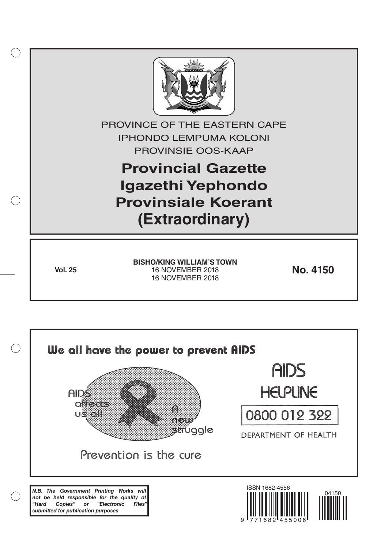

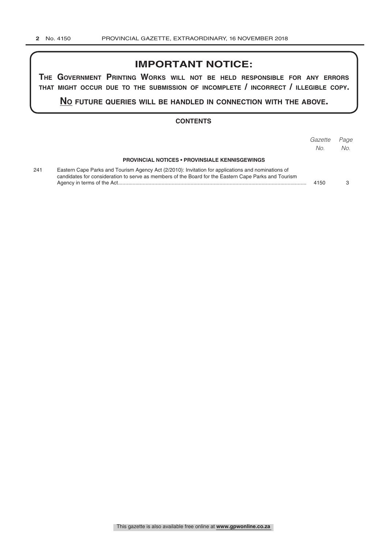# **IMPORTANT NOTICE:**

**The GovernmenT PrinTinG Works Will noT be held resPonsible for any errors ThaT miGhT occur due To The submission of incomPleTe / incorrecT / illeGible coPy.**

**no fuTure queries Will be handled in connecTion WiTh The above.**

#### **CONTENTS**

|     |                                                                                                                                                                                                            | Gazette<br>No. | Page<br>No. |
|-----|------------------------------------------------------------------------------------------------------------------------------------------------------------------------------------------------------------|----------------|-------------|
|     | <b>PROVINCIAL NOTICES • PROVINSIALE KENNISGEWINGS</b>                                                                                                                                                      |                |             |
| 241 | Eastern Cape Parks and Tourism Agency Act (2/2010): Invitation for applications and nominations of<br>candidates for consideration to serve as members of the Board for the Eastern Cape Parks and Tourism | 4150           |             |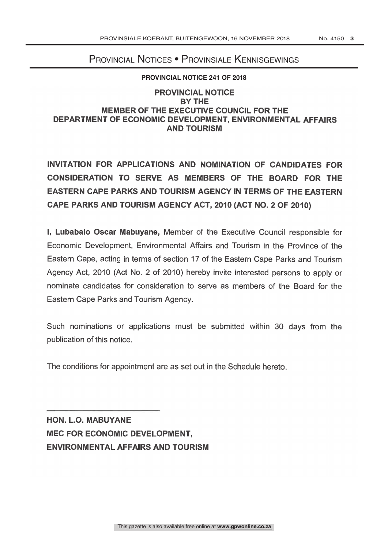# Provincial Notices • Provinsiale Kennisgewings

### **PROVINCIAL NOTICE 241 OF 2018**

## PROVINCIAL NOTICE BY THE MEMBER OF THE EXECUTIVE COUNCIL FOR THE DEPARTMENT OF ECONOMIC DEVELOPMENT, ENVIRONMENTAL AFFAIRS AND TOURISM

INVITATION FOR APPLICATIONS AND NOMINATION OF CANDIDATES FOR CONSIDERATION TO SERVE AS MEMBERS OF THE BOARD FOR THE EASTERN CAPE PARKS AND TOURISM AGENCY IN TERMS OF THE EASTERN CAPE PARKS AND TOURISM AGENCY ACT, 2010 (ACT NO. 2 OF 2010)

I, Lubabalo Oscar Mabuyane, Member of the Executive Council responsible for Economic Development, Environmental Affairs and Tourism in the Province of the Eastern Cape, acting in terms of section 17 of the Eastern Cape Parks and Tourism Agency Act, 2010 (Act No. 2 of 2010) hereby invite interested persons to apply or nominate candidates for consideration to serve as members of the Board for the Eastern Cape Parks and Tourism Agency.

Such nominations or applications must be submitted within 30 days from the publication of this notice.

The conditions for appointment are as set out in the Schedule hereto.

HON. L.O. MABUYANE MEC FOR ECONOMIC DEVELOPMENT, ENVIRONMENTAL AFFAIRS AND TOURISM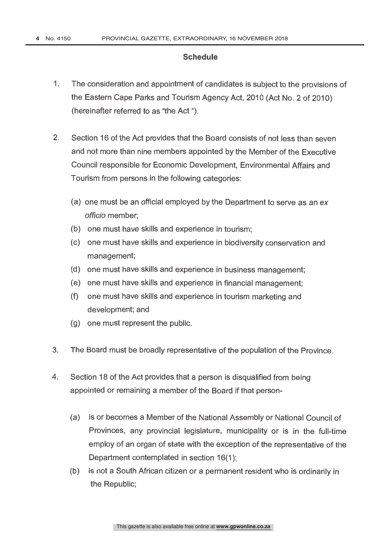## **Schedule**

- 1. The consideration and appointment of candidates is subject to the provisions of the Eastern Cape Parks and Tourism Agency Act, 2010 (Act No. 2 of 2010) (hereinafter referred to as "the Act ").
- 2. Section 16 of the Act provides that the Board consists of not less than seven and not more than nine members appointed by the Member of the Executive Council responsible for Economic Development, Environmental Affairs and Tourism from persons in the following categories:
	- (a) one must be an official employed by the Department to serve as an ex officio member;
	- (b) one must have skills and experience in tourism;
	- (c) one must have skills and experience in biodiversity conservation and management;
	- (d) one must have skills and experience in business management;
	- (e) one must have skills and experience in financial management;
	- (f) one must have skills and experience in tourism marketing and development; and
	- (g) one must represent the public.
- 3. The Board must be broadly representative of the population of the Province.
- 4. Section 18 of the Act provides that a person is disqualified from being appointed or remaining a member of the Board if that person-
	- (a) is or becomes a Member of the National Assembly or National Council of Provinces, any provincial legislature, municipality or is in the full-time employ of an organ of state with the exception of the representative of the Department contemplated in section 16(1);
	- (b) is not a South African citizen or a permanent resident who is ordinarily in the Republic;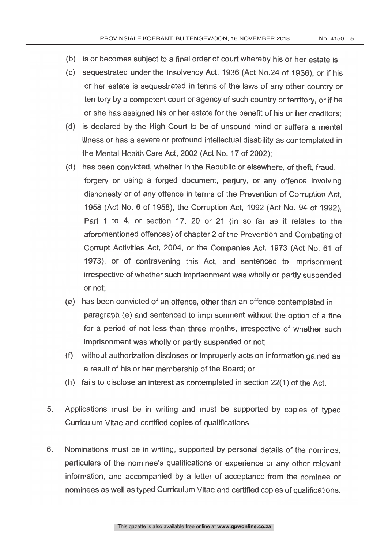- (b) is or becomes subject to a final order of court whereby his or her estate is
- (c) sequestrated under the Insolvency Act, 1936 (Act No.24 of 1936), or if his or her estate is sequestrated in terms of the laws of any other country or territory by a competent court or agency of such country or territory, or if he or she has assigned his or her estate for the benefit of his or her creditors;
- (d) is declared by the High Court to be of unsound mind or suffers a mental illness or has a severe or profound intellectual disability as contemplated in the Mental Health Care Act, 2002 (Act No. 17 of 2002);
- (d) has been convicted, whether in the Republic or elsewhere, of theft, fraud, forgery or using a forged document, perjury, or any offence involving dishonesty or of any offence in terms of the Prevention of Corruption Act, 1958 (Act No. 6 of 1958), the Corruption Act, 1992 (Act No. 94 of 1992), Part <sup>1</sup> to 4, or section 17, 20 or 21 (in so far as it relates to the aforementioned offences) of chapter 2 of the Prevention and Combating of Corrupt Activities Act, 2004, or the Companies Act, 1973 (Act No. 61 of 1973), or of contravening this Act, and sentenced to imprisonment irrespective of whether such imprisonment was wholly or partly suspended or not;
- (e) has been convicted of an offence, other than an offence contemplated in paragraph (e) and sentenced to imprisonment without the option of a fine for a period of not less than three months, irrespective of whether such imprisonment was wholly or partly suspended or not;
- (f) without authorization discloses or improperly acts on information gained as a result of his or her membership of the Board; or
- (h) fails to disclose an interest as contemplated in section 22(1) of the Act.
- 5. Applications must be in writing and must be supported by copies of typed Curriculum Vitae and certified copies of qualifications.
- 6. Nominations must be in writing, supported by personal details of the nominee, particulars of the nominee's qualifications or experience or any other relevant information, and accompanied by a letter of acceptance from the nominee or nominees as well as typed Curriculum Vitae and certified copies of qualifications.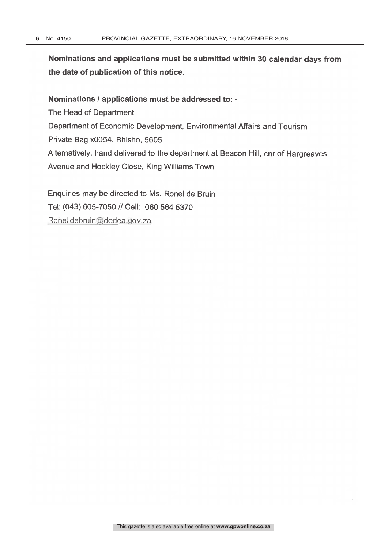Nominations and applications must be submitted within 30 calendar days from the date of publication of this notice.

Nominations / applications must be addressed to: The Head of Department Department of Economic Development, Environmental Affairs and Tourism Private Bag x0054, Bhisho, 5605 Alternatively, hand delivered to the department at Beacon Hill, cnr of Hargreaves Avenue and Hockley Close, King Williams Town

Enquiries may be directed to Ms. Ronel de Bruin Tel: (043) 605-7050 // Cell: 060 564 5370 Ronel.debruin@dedea.gov.za